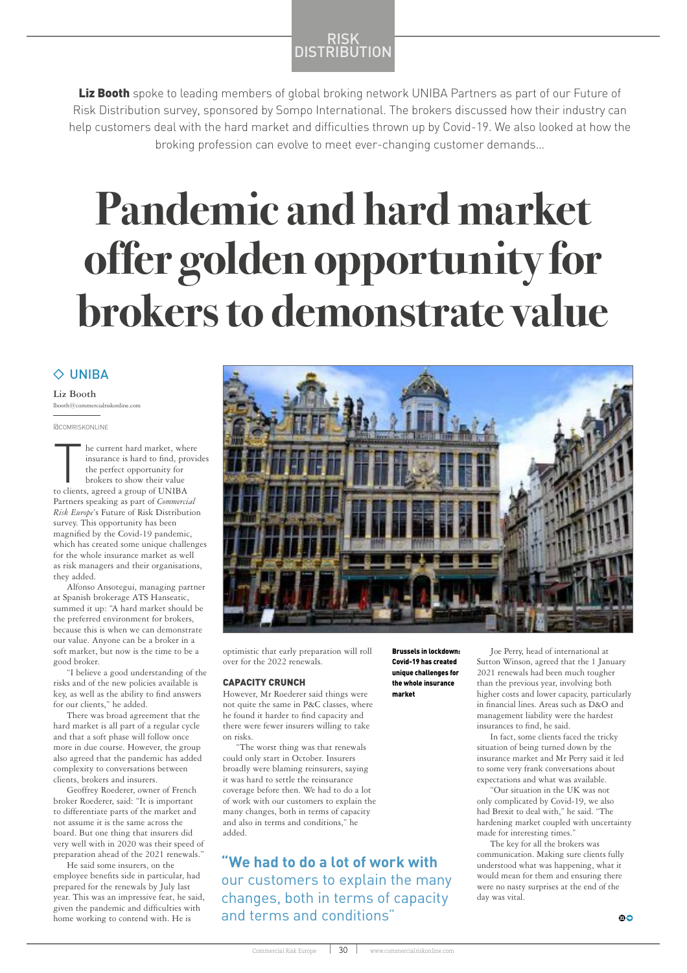# RISK **DISTRIBUTION**

Liz Booth spoke to leading members of global broking network UNIBA Partners as part of our Future of Risk Distribution survey, sponsored by Sompo International. The brokers discussed how their industry can help customers deal with the hard market and difficulties thrown up by Covid-19. We also looked at how the broking profession can evolve to meet ever-changing customer demands…

# **Pandemic and hard market offer golden opportunity for**

# $\Diamond$  UNIBA

**Liz Booth**  $lbooth@comm$ 

he current hard market, where insurance is hard to find, provides the perfect opportunity for brokers to show their value to clients, agreed a group of UNIBA Partners speaking as part of *Commercial Risk Europe*'s Future of Risk Distribution survey. This opportunity has been magnified by the Covid-19 pandemic, which has created some unique challenges for the whole insurance market as well as risk managers and their organisations, they added.

Alfonso Ansotegui, managing partner at Spanish brokerage ATS Hanseatic, summed it up: "A hard market should be the preferred environment for brokers, because this is when we can demonstrate our value. Anyone can be a broker in a soft market, but now is the time to be a good broker.

"I believe a good understanding of the risks and of the new policies available is key, as well as the ability to find answers for our clients," he added.

There was broad agreement that the hard market is all part of a regular cycle and that a soft phase will follow once more in due course. However, the group also agreed that the pandemic has added complexity to conversations between clients, brokers and insurers.

Geoffrey Roederer, owner of French broker Roederer, said: "It is important to differentiate parts of the market and not assume it is the same across the board. But one thing that insurers did very well with in 2020 was their speed of preparation ahead of the 2021 renewals."

He said some insurers, on the employee benefits side in particular, had prepared for the renewals by July last year. This was an impressive feat, he said, given the pandemic and difficulties with home working to contend with. He is



optimistic that early preparation will roll over for the 2022 renewals.

### CAPACITY CRUNCH

However, Mr Roederer said things were not quite the same in P&C classes, where he found it harder to find capacity and there were fewer insurers willing to take on risks.

"The worst thing was that renewals could only start in October. Insurers broadly were blaming reinsurers, saying it was hard to settle the reinsurance coverage before then. We had to do a lot of work with our customers to explain the many changes, both in terms of capacity and also in terms and conditions," he added.

**"We had to do a lot of work with**  our customers to explain the many changes, both in terms of capacity and terms and conditions"

Brussels in lockdown: Covid-19 has created unique challenges for the whole insurance market

Joe Perry, head of international at Sutton Winson, agreed that the 1 January 2021 renewals had been much tougher than the previous year, involving both higher costs and lower capacity, particularly in financial lines. Areas such as D&O and management liability were the hardest insurances to find, he said.

In fact, some clients faced the tricky situation of being turned down by the insurance market and Mr Perry said it led to some very frank conversations about expectations and what was available.

"Our situation in the UK was not only complicated by Covid-19, we also had Brexit to deal with," he said. "The hardening market coupled with uncertainty made for interesting times."

The key for all the brokers was communication. Making sure clients fully understood what was happening, what it would mean for them and ensuring there were no nasty surprises at the end of the day was vital.